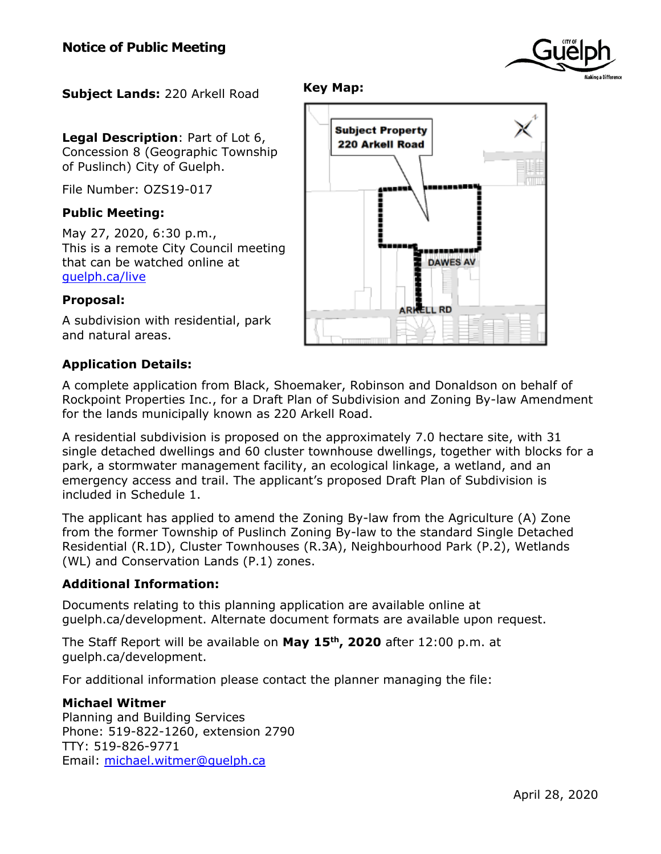

**Subject Lands:** 220 Arkell Road

**Legal Description**: Part of Lot 6, Concession 8 (Geographic Township of Puslinch) City of Guelph.

File Number: OZS19-017

# **Public Meeting:**

May 27, 2020, 6:30 p.m., This is a remote City Council meeting that can be watched online at [guelph.ca/live](http://guelph.ca/live)

#### **Proposal:**

A subdivision with residential, park and natural areas.

# **Application Details:**

A complete application from Black, Shoemaker, Robinson and Donaldson on behalf of Rockpoint Properties Inc., for a Draft Plan of Subdivision and Zoning By-law Amendment for the lands municipally known as 220 Arkell Road.

**Key Map:**

A residential subdivision is proposed on the approximately 7.0 hectare site, with 31 single detached dwellings and 60 cluster townhouse dwellings, together with blocks for a park, a stormwater management facility, an ecological linkage, a wetland, and an emergency access and trail. The applicant's proposed Draft Plan of Subdivision is included in Schedule 1.

The applicant has applied to amend the Zoning By-law from the Agriculture (A) Zone from the former Township of Puslinch Zoning By-law to the standard Single Detached Residential (R.1D), Cluster Townhouses (R.3A), Neighbourhood Park (P.2), Wetlands (WL) and Conservation Lands (P.1) zones.

# **Additional Information:**

Documents relating to this planning application are available online at guelph.ca/development. Alternate document formats are available upon request.

The Staff Report will be available on **May 15th, 2020** after 12:00 p.m. at guelph.ca/development.

For additional information please contact the planner managing the file:

# **Michael Witmer**

Planning and Building Services Phone: 519-822-1260, extension 2790 TTY: 519-826-9771 Email: [michael.witmer@guelph.ca](mailto:michael.witmer@guelph.ca)

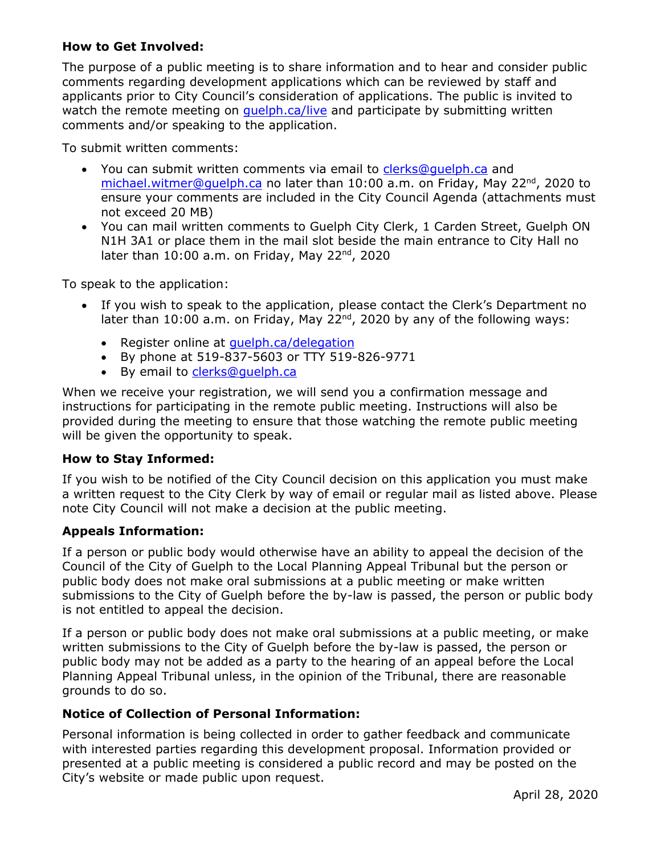# **How to Get Involved:**

The purpose of a public meeting is to share information and to hear and consider public comments regarding development applications which can be reviewed by staff and applicants prior to City Council's consideration of applications. The public is invited to watch the remote meeting on quelph.ca/live and participate by submitting written comments and/or speaking to the application.

To submit written comments:

- You can submit written comments via email to [clerks@guelph.ca](mailto:clerks@guelph.ca) and [michael.witmer@guelph.ca](mailto:michael.witmer@guelph.ca) no later than 10:00 a.m. on Friday, May 22<sup>nd</sup>, 2020 to ensure your comments are included in the City Council Agenda (attachments must not exceed 20 MB)
- You can mail written comments to Guelph City Clerk, 1 Carden Street, Guelph ON N1H 3A1 or place them in the mail slot beside the main entrance to City Hall no later than 10:00 a.m. on Friday, May 22<sup>nd</sup>, 2020

To speak to the application:

- If you wish to speak to the application, please contact the Clerk's Department no later than 10:00 a.m. on Friday, May 22<sup>nd</sup>, 2020 by any of the following ways:
	- Register online at quelph.ca/delegation
	- By phone at 519-837-5603 or TTY 519-826-9771
	- By email to [clerks@guelph.ca](mailto:clerks@guelph.ca)

When we receive your registration, we will send you a confirmation message and instructions for participating in the remote public meeting. Instructions will also be provided during the meeting to ensure that those watching the remote public meeting will be given the opportunity to speak.

# **How to Stay Informed:**

If you wish to be notified of the City Council decision on this application you must make a written request to the City Clerk by way of email or regular mail as listed above. Please note City Council will not make a decision at the public meeting.

# **Appeals Information:**

If a person or public body would otherwise have an ability to appeal the decision of the Council of the City of Guelph to the Local Planning Appeal Tribunal but the person or public body does not make oral submissions at a public meeting or make written submissions to the City of Guelph before the by-law is passed, the person or public body is not entitled to appeal the decision.

If a person or public body does not make oral submissions at a public meeting, or make written submissions to the City of Guelph before the by-law is passed, the person or public body may not be added as a party to the hearing of an appeal before the Local Planning Appeal Tribunal unless, in the opinion of the Tribunal, there are reasonable grounds to do so.

# **Notice of Collection of Personal Information:**

Personal information is being collected in order to gather feedback and communicate with interested parties regarding this development proposal. Information provided or presented at a public meeting is considered a public record and may be posted on the City's website or made public upon request.